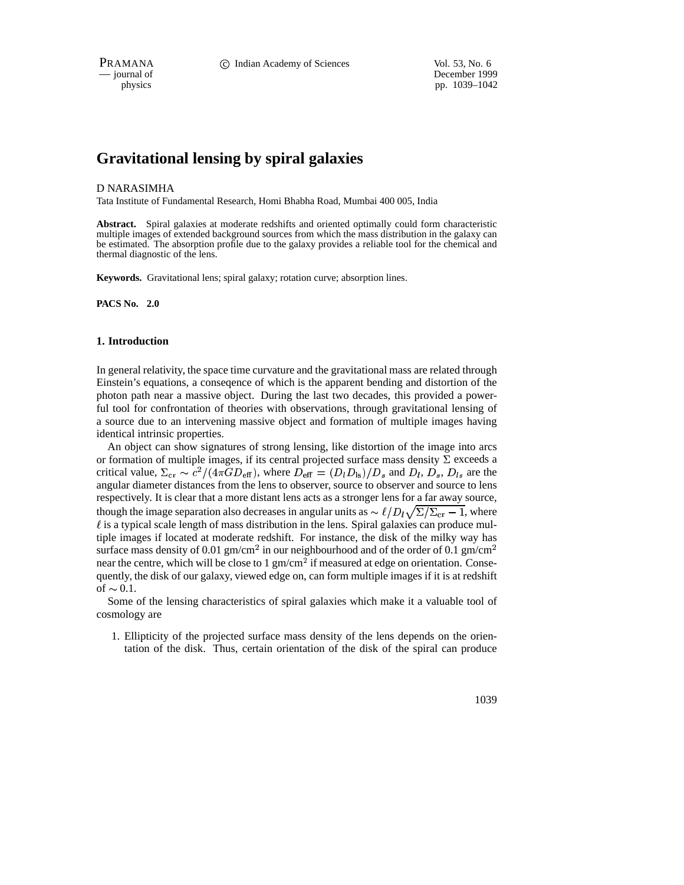PRAMANA **C** Indian Academy of Sciences Vol. 53, No. 6

— journal of December 1999 physics pp. 1039–1042

# **Gravitational lensing by spiral galaxies**

#### D NARASIMHA

Tata Institute of Fundamental Research, Homi Bhabha Road, Mumbai 400 005, India

**Abstract.** Spiral galaxies at moderate redshifts and oriented optimally could form characteristic multiple images of extended background sources from which the mass distribution in the galaxy can be estimated. The absorption profile due to the galaxy provides a reliable tool for the chemical and thermal diagnostic of the lens.

**Keywords.** Gravitational lens; spiral galaxy; rotation curve; absorption lines.

**PACS No. 2.0**

## **1. Introduction**

In general relativity, the space time curvature and the gravitational mass are related through Einstein's equations, a conseqence of which is the apparent bending and distortion of the photon path near a massive object. During the last two decades, this provided a powerful tool for confrontation of theories with observations, through gravitational lensing of a source due to an intervening massive object and formation of multiple images having identical intrinsic properties.

An object can show signatures of strong lensing, like distortion of the image into arcs or formation of multiple images, if its central projected surface mass density  $\Sigma$  exceeds a critical value,  $\Sigma_{\rm cr} \sim c^2/(4\pi G D_{\rm eff})$ , where  $D_{\rm eff} = (D_l D_{\rm ls})/D_s$  and  $D_l$ ,  $D_s$ ,  $D_{ls}$  are the angular diameter distances from the lens to observer, source to observer and source to lens respectively. It is clear that a more distant lens acts as a stronger lens for a far away source, though the image separation also decreases in angular units as  $\sim \ell/D_l\sqrt{\Sigma/\Sigma_{cr}} - 1$ , where  $\ell$  is a typical scale length of mass distribution in the lens. Spiral galaxies can produce multiple images if located at moderate redshift. For instance, the disk of the milky way has surface mass density of 0.01 gm/cm<sup>2</sup> in our neighbourhood and of the order of 0.1 gm/cm near the centre, which will be close to  $1 \text{ gm/cm}^2$  if measured at edge on orientation. Consequently, the disk of our galaxy, viewed edge on, can form multiple images if it is at redshift of  $\sim 0.1$ .

Some of the lensing characteristics of spiral galaxies which make it a valuable tool of cosmology are

1. Ellipticity of the projected surface mass density of the lens depends on the orientation of the disk. Thus, certain orientation of the disk of the spiral can produce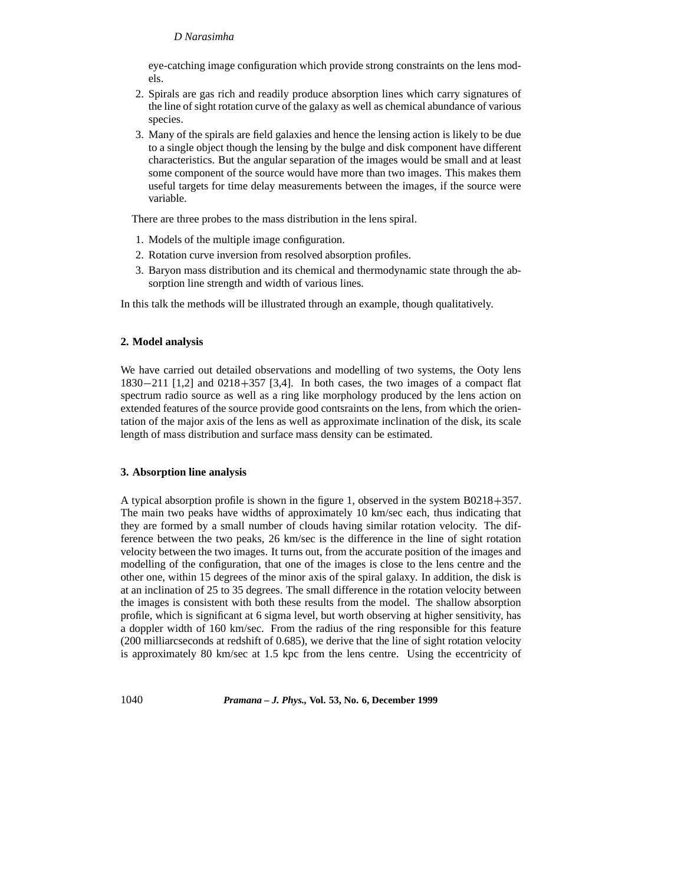## *D Narasimha*

eye-catching image configuration which provide strong constraints on the lens models.

- 2. Spirals are gas rich and readily produce absorption lines which carry signatures of the line of sight rotation curve of the galaxy as well as chemical abundance of various species.
- 3. Many of the spirals are field galaxies and hence the lensing action is likely to be due to a single object though the lensing by the bulge and disk component have different characteristics. But the angular separation of the images would be small and at least some component of the source would have more than two images. This makes them useful targets for time delay measurements between the images, if the source were variable.

There are three probes to the mass distribution in the lens spiral.

- 1. Models of the multiple image configuration.
- 2. Rotation curve inversion from resolved absorption profiles.
- 3. Baryon mass distribution and its chemical and thermodynamic state through the absorption line strength and width of various lines.

In this talk the methods will be illustrated through an example, though qualitatively.

## **2. Model analysis**

We have carried out detailed observations and modelling of two systems, the Ooty lens  $1830 - 211$  [1,2] and  $0218 + 357$  [3,4]. In both cases, the two images of a compact flat spectrum radio source as well as a ring like morphology produced by the lens action on extended features of the source provide good contsraints on the lens, from which the orientation of the major axis of the lens as well as approximate inclination of the disk, its scale length of mass distribution and surface mass density can be estimated.

## **3. Absorption line analysis**

A typical absorption profile is shown in the figure 1, observed in the system  $B0218+357$ . The main two peaks have widths of approximately 10 km/sec each, thus indicating that they are formed by a small number of clouds having similar rotation velocity. The difference between the two peaks, 26 km/sec is the difference in the line of sight rotation velocity between the two images. It turns out, from the accurate position of the images and modelling of the configuration, that one of the images is close to the lens centre and the other one, within 15 degrees of the minor axis of the spiral galaxy. In addition, the disk is at an inclination of 25 to 35 degrees. The small difference in the rotation velocity between the images is consistent with both these results from the model. The shallow absorption profile, which is significant at 6 sigma level, but worth observing at higher sensitivity, has a doppler width of 160 km/sec. From the radius of the ring responsible for this feature (200 milliarcseconds at redshift of 0.685), we derive that the line of sight rotation velocity is approximately 80 km/sec at 1.5 kpc from the lens centre. Using the eccentricity of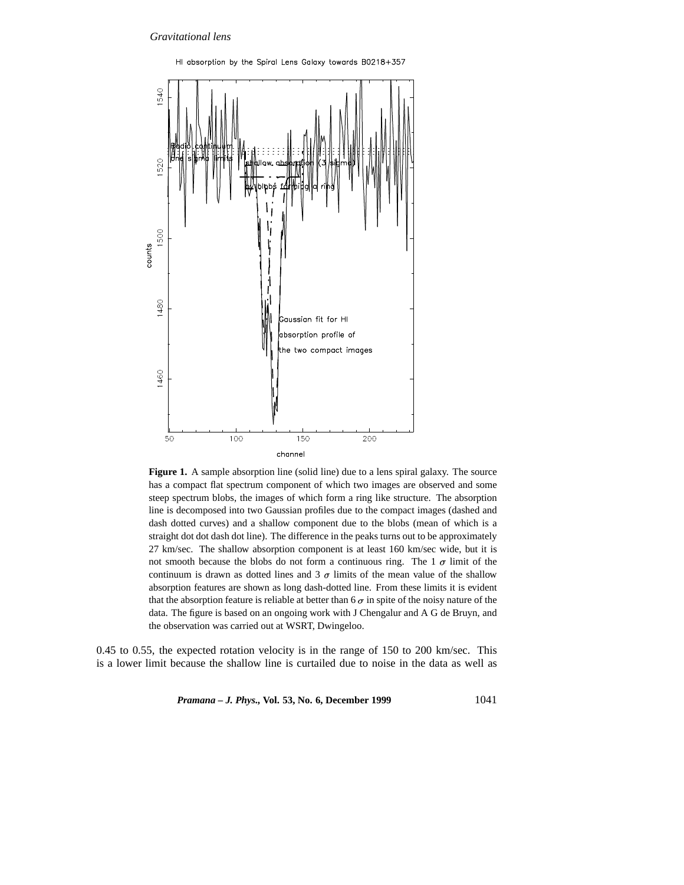

HI absorption by the Spiral Lens Galaxy towards B0218+357

**Figure 1.** A sample absorption line (solid line) due to a lens spiral galaxy. The source has a compact flat spectrum component of which two images are observed and some steep spectrum blobs, the images of which form a ring like structure. The absorption line is decomposed into two Gaussian profiles due to the compact images (dashed and dash dotted curves) and a shallow component due to the blobs (mean of which is a straight dot dot dash dot line). The difference in the peaks turns out to be approximately 27 km/sec. The shallow absorption component is at least 160 km/sec wide, but it is not smooth because the blobs do not form a continuous ring. The 1  $\sigma$  limit of the continuum is drawn as dotted lines and 3  $\sigma$  limits of the mean value of the shallow absorption features are shown as long dash-dotted line. From these limits it is evident that the absorption feature is reliable at better than 6  $\sigma$  in spite of the noisy nature of the data. The figure is based on an ongoing work with J Chengalur and A G de Bruyn, and the observation was carried out at WSRT, Dwingeloo.

0.45 to 0.55, the expected rotation velocity is in the range of 150 to 200 km/sec. This is a lower limit because the shallow line is curtailed due to noise in the data as well as

*Pramana – J. Phys.,* **Vol. 53, No. 6, December 1999** 1041